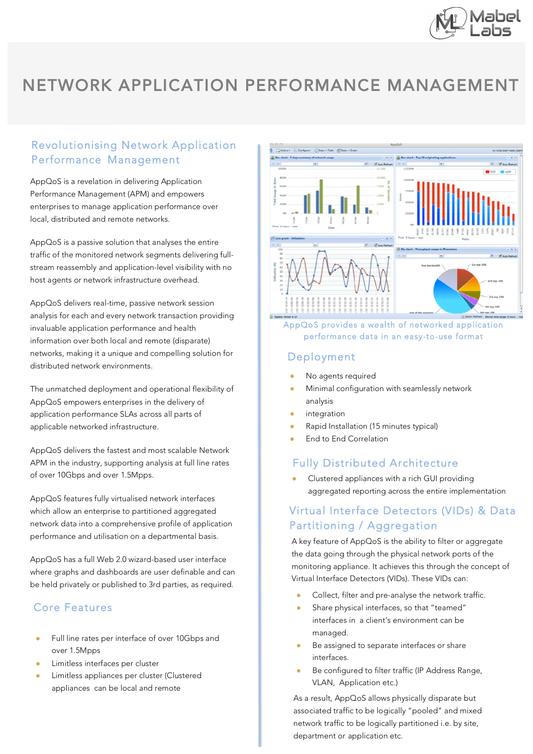

## NETWORK APPLICATION PERFORMANCE MANAGEMENT

## Revolutionising Network Application Performance Management

AppQoS is a revelation in delivering Application Performance Management (APM) and empowers enterprises to manage application performance over local, distributed and remote networks.

AppQoS is a passive solution that analyses the entire traffic of the monitored network segments delivering fullstream reassembly and application-level visibility with no host agents or network infrastructure overhead.

AppQoS delivers real-time, passive network session analysis for each and every network transaction providing invaluable application performance and health information over both local and remote (disparate) networks, making it a unique and compelling solution for distributed network environments.

The unmatched deployment and operational flexibility of AppQoS empowers enterprises in the delivery of application performance SLAs across all parts of applicable networked infrastructure.

AppQoS delivers the fastest and most scalable Network APM in the industry, supporting analysis at full line rates of over 10Gbps and over 1.5Mpps.

AppQoS features fully virtualised network interfaces which allow an enterprise to partitioned aggregated network data into a comprehensive profile of application performance and utilisation on a departmental basis.

AppQoS has a full Web 2.0 wizard-based user interface where graphs and dashboards are user definable and can be held privately or published to 3rd parties, as required.

## Core Features

- Full line rates per interface of over 10Gbps and over 1.5Mpps
- Limitless interfaces per cluster
- Limitless appliances per cluster (Clustered appliances can be local and remote



#### AppQoS provides a wealth of networked application performance data in an easy-to-use format

### Deployment

- No agents required
- Minimal configuration with seamlessly network analysis
- integration
- Rapid Installation (15 minutes typical)
- End to End Correlation

## Fully Distributed Architecture

Clustered appliances with a rich GUI providing aggregated reporting across the entire implementation

## Virtual Interface Detectors (VIDs) & Data Partitioning / Aggregation<br>A key feature of AppQoS is the ability to filter or aggregate

the data going through the physical network ports of the monitoring appliance. It achieves this through the concept of Virtual Interface Detectors (VIDs). These VIDs can:

- Collect, filter and pre-analyse the network traffic.
- Share physical interfaces, so that "teamed" interfaces in a client's environment can be managed.
- Be assigned to separate interfaces or share interfaces.
- Be configured to filter traffic (IP Address Range, VLAN, Application etc.)

As a result, AppQoS allows physically disparate but associated traffic to be logically "pooled" and mixed network traffic to be logically partitioned i.e. by site, department or application etc.